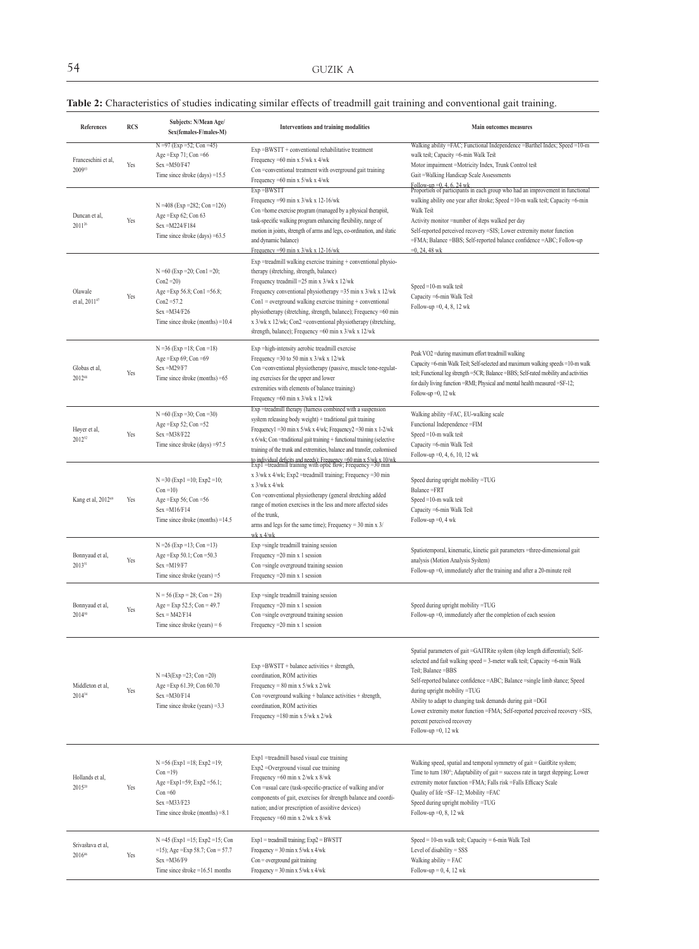## **Table 2:** Characteristics of studies indicating similar effects of treadmill gait training and conventional gait training.

| References                            | <b>RCS</b> | Subjects: N/Mean Age/<br>Sex(females-F/males-M)                                                                                                            | Interventions and training modalities                                                                                                                                                                                                                                                                                                                                                                                                                                                                                                     | <b>Main outcomes measures</b>                                                                                                                                                                                                                                                                                                                                                                                                                                                                       |
|---------------------------------------|------------|------------------------------------------------------------------------------------------------------------------------------------------------------------|-------------------------------------------------------------------------------------------------------------------------------------------------------------------------------------------------------------------------------------------------------------------------------------------------------------------------------------------------------------------------------------------------------------------------------------------------------------------------------------------------------------------------------------------|-----------------------------------------------------------------------------------------------------------------------------------------------------------------------------------------------------------------------------------------------------------------------------------------------------------------------------------------------------------------------------------------------------------------------------------------------------------------------------------------------------|
| Franceschini et al,<br>200953         | Yes        | $N = 97$ (Exp = 52; Con = 45)<br>Age = $Exp 71$ ; Con = $66$<br>$Sex = M50/F47$<br>Time since stroke $\text{(days)} = 15.5$                                | Exp =BWSTT + conventional rehabilitative treatment<br>Frequency = 60 min x $5$ /wk x $4$ /wk<br>Con=conventional treatment with overground gait training<br>Frequency = 60 min x 5/wk x 4/wk                                                                                                                                                                                                                                                                                                                                              | Walking ability =FAC; Functional Independence =Barthel Index; Speed =10-m<br>walk test; Capacity =6-min Walk Test<br>Motor impairment =Motricity Index, Trunk Control test<br>Gait = Walking Handicap Scale Assessments                                                                                                                                                                                                                                                                             |
| Duncan et al,<br>$2011^{26}$          | Yes        | N = 408 (Exp = 282; Con = 126)<br>Age = $Exp 62$ ; Con 63<br>Sex = M224/F184<br>Time since stroke $\text{(days)} = 63.5$                                   | Exp = BWSTT<br>Frequency =90 min x $3$ /wk x 12-16/wk<br>Con = home exercise program (managed by a physical therapist,<br>task-specific walking program enhancing flexibility, range of<br>motion in joints, strength of arms and legs, co-ordination, and static<br>and dynamic balance)<br>Frequency = 90 min x $3$ /wk x 12-16/wk                                                                                                                                                                                                      | Follow-up = $0, 4, 6, 24$ wk<br>Proportion of participants in each group who had an improvement in functional<br>walking ability one year after stroke; Speed =10-m walk test; Capacity =6-min<br>Walk Test<br>Activity monitor =number of steps walked per day<br>Self-reported perceived recovery =SIS; Lower extremity motor function<br>=FMA; Balance =BBS; Self-reported balance confidence =ABC; Follow-up<br>$=0, 24, 48$ wk                                                                 |
| Olawale<br>et al, 201147              | Yes        | $N = 60$ (Exp = 20; Con1 = 20;<br>$Con2 = 20$<br>Age = Exp 56.8; Con1 = $56.8$ ;<br>$Con2 = 57.2$<br>$Sex = M34/F26$<br>Time since stroke (months) $=10.4$ | Exp =treadmill walking exercise training + conventional physio-<br>therapy (stretching, strength, balance)<br>Frequency treadmill = $25 \text{ min } x \frac{3}{\text{ w}} k \times \frac{12}{\text{ w}} k$<br>Frequency conventional physiotherapy = 35 min x 3/wk x 12/wk<br>$Con1 = overground walking exercise training + conventional$<br>physiotherapy (stretching, strength, balance); Frequency =60 min<br>x 3/wk x 12/wk; Con2 = conventional physiotherapy (stretching,<br>strength, balance); Frequency =60 min x 3/wk x 12/wk | Speed $=10$ -m walk test<br>Capacity =6-min Walk Test<br>Follow-up $=0, 4, 8, 12$ wk                                                                                                                                                                                                                                                                                                                                                                                                                |
| Globas et al,<br>201248               | Yes        | $N = 36$ (Exp = 18; Con = 18)<br>Age = Exp $69$ ; Con = $69$<br>$Sex = M29/F7$<br>Time since stroke (months) $=65$                                         | Exp =high-intensity aerobic treadmill exercise<br>Frequency = 30 to 50 min x $3$ /wk x $12$ /wk<br>Con =conventional physiotherapy (passive, muscle tone-regulat-<br>ing exercises for the upper and lower<br>extremities with elements of balance training)<br>Frequency = 60 min x $3$ /wk x $12$ /wk                                                                                                                                                                                                                                   | Peak VO2 =during maximum effort treadmill walking<br>Capacity =6-min Walk Test; Self-selected and maximum walking speeds =10-m walk<br>test; Functional leg strength =5CR; Balance =BBS; Self-rated mobility and activities<br>for daily living function = RMI; Physical and mental health measured = SF-12;<br>Follow-up $=0$ , 12 wk                                                                                                                                                              |
| Høyer et al,<br>201252                | Yes        | $N = 60$ (Exp = 30; Con = 30)<br>Age = $Exp 52$ ; Con = $52$<br>$Sex = M38/F22$<br>Time since stroke $\text{(days)} = 97.5$                                | Exp =treadmill therapy (harness combined with a suspension<br>system releasing body weight) + traditional gait training<br>Frequency1 =30 min x 5/wk x 4/wk; Frequency2 =30 min x 1-2/wk<br>x 6/wk; Con = traditional gait training + functional training (selective<br>training of the trunk and extremities, balance and transfer, customised<br>to individual deficits and needs); Frequency =60 min x 5/wk x 10/wk<br>Exp1 =treadmill training with optic flow; Frequency =30 min                                                     | Walking ability =FAC, EU-walking scale<br>Functional Independence = FIM<br>Speed $=10$ -m walk test<br>Capacity =6-min Walk Test<br>Follow-up = $0, 4, 6, 10, 12$ wk                                                                                                                                                                                                                                                                                                                                |
| Kang et al, 2012 <sup>49</sup>        | Yes        | $N = 30$ (Exp1 = 10; Exp2 = 10;<br>$Con = 10$<br>Age = Exp 56; Con = $56$<br>$Sex = M16/F14$<br>Time since stroke (months) = $14.5$                        | x 3/wk x 4/wk; Exp2 =treadmill training; Frequency =30 min<br>$x$ 3/wk $x$ 4/wk<br>Con=conventional physiotherapy (general stretching added<br>range of motion exercises in the less and more affected sides<br>of the trunk,<br>arms and legs for the same time); Frequency = $30 \text{ min } x \frac{3}{2}$<br>$wk \times 4/wk$                                                                                                                                                                                                        | Speed during upright mobility =TUG<br>Balance =FRT<br>Speed $=10$ -m walk test<br>Capacity = 6-min Walk Test<br>Follow-up $=0$ , 4 wk                                                                                                                                                                                                                                                                                                                                                               |
| Bonnyaud et al,<br>201351             | Yes        | $N = 26$ (Exp = 13; Con = 13)<br>Age = Exp $50.1$ ; Con = $50.3$<br>$Sex = M19/F7$<br>Time since stroke (years) $=5$                                       | Exp = single treadmill training session<br>Frequency = $20 \text{ min } x 1 \text{ session}$<br>Con =single overground training session<br>Frequency = $20 \text{ min } x 1 \text{ session}$                                                                                                                                                                                                                                                                                                                                              | Spatiotemporal, kinematic, kinetic gait parameters =three-dimensional gait<br>analysis (Motion Analysis System)<br>Follow-up =0, immediately after the training and after a 20-minute rest                                                                                                                                                                                                                                                                                                          |
| Bonnyaud et al,<br>201450             | Yes        | $N = 56$ (Exp = 28; Con = 28)<br>Age = $Exp 52.5$ ; Con = 49.7<br>$Sex = M42/F14$<br>Time since stroke (years) = $6$                                       | Exp = single treadmill training session<br>Frequency = $20 \text{ min } x 1 \text{ session}$<br>Con =single overground training session<br>Frequency = $20 \text{ min } x 1 \text{ session}$                                                                                                                                                                                                                                                                                                                                              | Speed during upright mobility =TUG<br>Follow-up =0, immediately after the completion of each session                                                                                                                                                                                                                                                                                                                                                                                                |
| Middleton et al,<br>201434            | Yes        | $N = 43$ (Exp = 23; Con = 20)<br>Age = Exp 61.39; Con 60.70<br>$Sex = M30/F14$<br>Time since stroke (years) $=3.3$                                         | $Exp = BWSTT + balance$ activities + strength,<br>coordination, ROM activities<br>Frequency = $80 \text{ min x } 5/\text{wk x } 2/\text{wk}$<br>Con =overground walking + balance activities + strength,<br>coordination, ROM activities<br>Frequency =180 min x 5/wk x 2/wk                                                                                                                                                                                                                                                              | Spatial parameters of gait =GAITRite system (step length differential); Self-<br>selected and fast walking speed = 3-meter walk test; Capacity =6-min Walk<br>Test; Balance = BBS<br>Self-reported balance confidence =ABC; Balance =single limb stance; Speed<br>during upright mobility =TUG<br>Ability to adapt to changing task demands during gait =DGI<br>Lower extremity motor function =FMA; Self-reported perceived recovery =SIS,<br>percent perceived recovery<br>Follow-up $=0$ , 12 wk |
| Hollands et al,<br>2015 <sup>20</sup> | Yes        | $N = 56$ (Exp1 = 18; Exp2 = 19;<br>$Con = 19$<br>Age = Exp1=59; Exp2 = 56.1;<br>$Con = 60$<br>$Sex = M33/F23$<br>Time since stroke (months) $=8.1$         | Exp1 =treadmill based visual cue training<br>Exp2 = Overground visual cue training<br>Frequency = 60 min x 2/wk x 8/wk<br>Con =usual care (task-specific-practice of walking and/or<br>components of gait, exercises for strength balance and coordi-<br>nation; and/or prescription of assistive devices)<br>Frequency = 60 min x 2/wk x 8/wk                                                                                                                                                                                            | Walking speed, spatial and temporal symmetry of gait = GaitRite system;<br>Time to turn 180°; Adaptability of gait = success rate in target stepping; Lower<br>extremity motor function =FMA; Falls risk =Falls Efficacy Scale<br>Quality of life =SF-12; Mobility =FAC<br>Speed during upright mobility =TUG<br>Follow-up $=0, 8, 12$ wk                                                                                                                                                           |
| Srivastava et al,<br>201646           | Yes        | $N = 45$ (Exp1 = 15; Exp2 = 15; Con<br>$=15$ ); Age $=$ Exp 58.7; Con $= 57.7$<br>$Sex = M36/F9$<br>Time since $\text{stroke} = 16.51$ months              | Exp1 = treadmill training; Exp2 = BWSTT<br>Frequency = 30 min x 5/wk x 4/wk<br>Con = overground gait training<br>Frequency = $30 \text{ min} \times 5/\text{wk} \times 4/\text{wk}$                                                                                                                                                                                                                                                                                                                                                       | Speed = $10$ -m walk test; Capacity = $6$ -min Walk Test<br>Level of disability = SSS<br>Walking ability = FAC<br>Follow-up = $0, 4, 12$ wk                                                                                                                                                                                                                                                                                                                                                         |